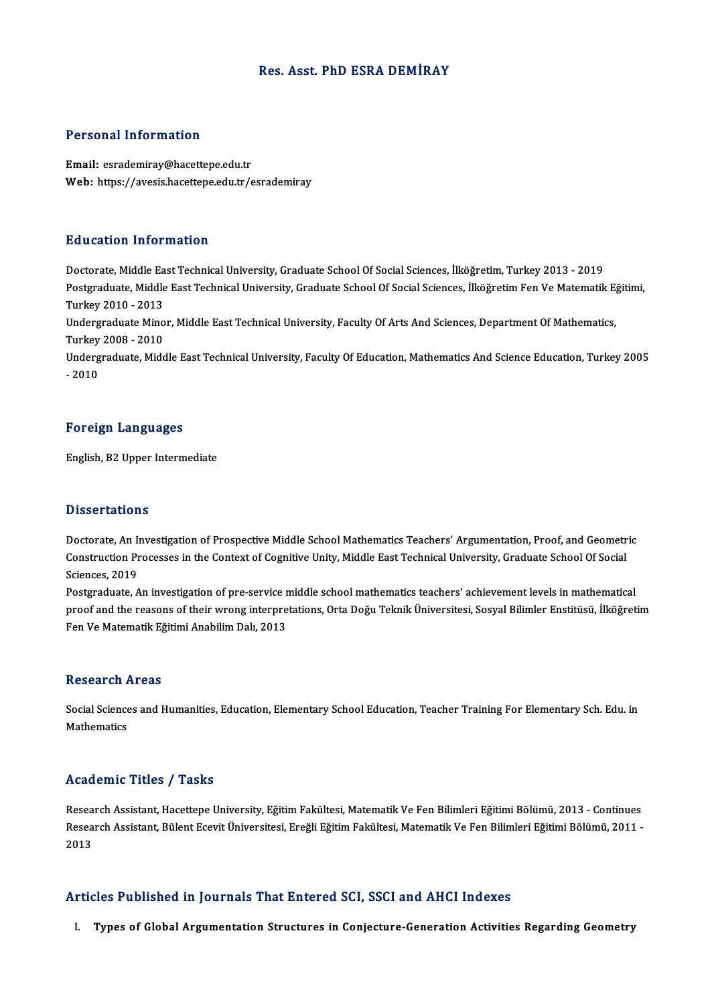## Res. Asst. PhD ESRA DEMİRAY

## Personal Information

Email: esrademiray@hacettepe.edu.tr Web: https://avesis.hacettepe.edu.tr/esrademiray

### Education Information

Doctorate, Middle East Technical University, Graduate School Of Social Sciences, İlköğretim, Turkey 2013 - 2019 Postgraduate, Middle East Technical University, Graduate School Of Social Sciences, İlköğretim Fen Ve Matematik Eğitimi, Turkey2010 -2013 Postgraduate, Middle East Technical University, Graduate School Of Social Sciences, İlköğretim Fen Ve Matematik E<br>Turkey 2010 - 2013<br>Undergraduate Minor, Middle East Technical University, Faculty Of Arts And Sciences, Depa Turkey 2010 - 2013<br>Undergraduate Mino<br>Turkey 2008 - 2010<br>Undergraduate Mide Undergraduate Minor, Middle East Technical University, Faculty Of Arts And Sciences, Department Of Mathematics,<br>Turkey 2008 - 2010<br>Undergraduate, Middle East Technical University, Faculty Of Education, Mathematics And Scie

Turkey 2008 - 2010<br>Undergraduate, Middle East Technical University, Faculty Of Education, Mathematics And Science Education, Turkey 2005<br>- 2010

### Foreign Languages

English, B2 Upper Intermediate

### **Dissertations**

**Dissertations<br>Doctorate, An Investigation of Prospective Middle School Mathematics Teachers' Argumentation, Proof, and Geometric<br>Construction Prospesse in the Context of Cognitive Unity, Middle Fast Technical University,** Disbor tatrons<br>Doctorate, An Investigation of Prospective Middle School Mathematics Teachers' Argumentation, Proof, and Geometr<br>Construction Processes in the Context of Cognitive Unity, Middle East Technical University, Gr Doctorate, An I<br>Construction Pr<br>Sciences, 2019<br>Postareduate Construction Processes in the Context of Cognitive Unity, Middle East Technical University, Graduate School Of Social<br>Sciences, 2019<br>Postgraduate, An investigation of pre-service middle school mathematics teachers' achieve

Sciences, 2019<br>Postgraduate, An investigation of pre-service middle school mathematics teachers' achievement levels in mathematical<br>proof and the reasons of their wrong interpretations, Orta Doğu Teknik Üniversitesi, Sosya Postgraduate, An investigation of pre-service r<br>proof and the reasons of their wrong interpre<br>Fen Ve Matematik Eğitimi Anabilim Dalı, 2013 Fen Ve Matematik Eğitimi Anabilim Dalı, 2013<br>Research Areas

Research Areas<br>Social Sciences and Humanities, Education, Elementary School Education, Teacher Training For Elementary Sch. Edu. in<br>Mathamatics **Mathematics**<br>Mathematics<br>Mathematics Mathematics<br>Academic Titles / Tasks

Research Assistant, Hacettepe University, Eğitim Fakültesi, Matematik Ve Fen Bilimleri Eğitimi Bölümü, 2013 - Continues rseda erme "Frese") "Fabke<br>Research Assistant, Hacettepe University, Eğitim Fakültesi, Matematik Ve Fen Bilimleri Eğitimi Bölümü, 2013 - Continues<br>Research Assistant, Bülent Ecevit Üniversitesi, Ereğli Eğitim Fakültesi, Ma Resea<br>Resea<br>2013

# Articles Published in Journals That Entered SCI, SSCI and AHCI Indexes

I. Types of Global Argumentation Structures in Conjecture-Generation Activities Regarding Geometry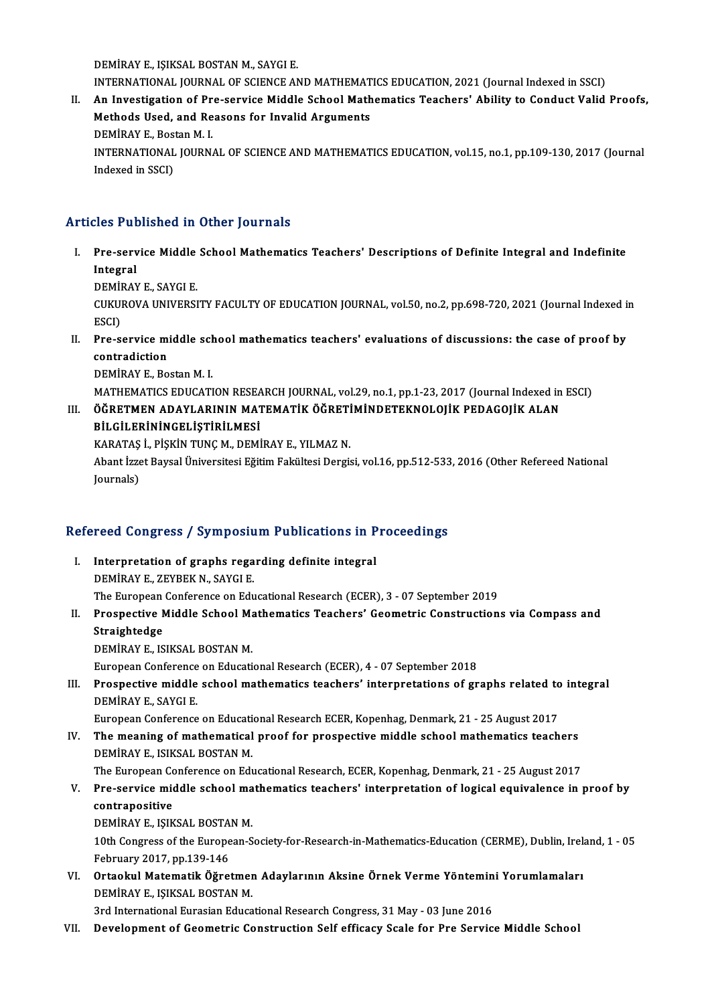DEMİRAY E., IŞIKSAL BOSTAN M., SAYGI E.

DEMIRAY E., IŞIKSAL BOSTAN M., SAYGI E.<br>INTERNATIONAL JOURNAL OF SCIENCE AND MATHEMATICS EDUCATION, 2021 (Journal Indexed in SSCI)<br>An Investigation of Pre servise Middle School Mathematics Teochers' Ability to Conduct Voli

DEMIRAY E., IŞIKSAL BOSTAN M., SAYGI E.<br>INTERNATIONAL JOURNAL OF SCIENCE AND MATHEMATICS EDUCATION, 2021 (Journal Indexed in SSCI)<br>II. An Investigation of Pre-service Middle School Mathematics Teachers' Ability to Cond INTERNATIONAL JOURNAL OF SCIENCE AND MATHEMAT<br>An Investigation of Pre-service Middle School Math<br>Methods Used, and Reasons for Invalid Arguments<br>PEMIRAY E. Bestan M. L An Investigation of Pr<br>Methods Used, and Re<br>DEMİRAY E., Bostan M. I.<br>INTERNATIONAL JOURN. Methods Used, and Reasons for Invalid Arguments<br>DEMİRAY E., Bostan M. I.<br>INTERNATIONAL JOURNAL OF SCIENCE AND MATHEMATICS EDUCATION, vol.15, no.1, pp.109-130, 2017 (Journal<br>Indoved in SSCD DEMİRAY E., Bos<br>INTERNATIONAL<br>Indexed in SSCI)

# Articles Published in Other Journals

rticles Published in Other Journals<br>I. Pre-service Middle School Mathematics Teachers' Descriptions of Definite Integral and Indefinite<br>Integral Pre-serv<br>Pre-serv<br>Integral Pre-service Middle<br>Integral<br>DEMİRAY E., SAYGI E.<br>CUKUROVA UNIVERSI

Integral<br>DEMİRAY E., SAYGI E.<br>CUKUROVA UNIVERSITY FACULTY OF EDUCATION JOURNAL, vol.50, no.2, pp.698-720, 2021 (Journal Indexed in<br>ESCD DEMI<br>CUKUI<br>ESCI)<br>Pre s CUKUROVA UNIVERSITY FACULTY OF EDUCATION JOURNAL, vol.50, no.2, pp.698-720, 2021 (Journal Indexed in ESCI)<br>ESCI)<br>II. Pre-service middle school mathematics teachers' evaluations of discussions: the case of proof by<br>contradi

ESCI)<br>Pre-service m<br>contradiction<br>DEMIRAV E-Bo Pre-service middle sch<br>contradiction<br>DEMİRAY E., Bostan M. I.<br>MATUEMATICS EDUCATI contradiction<br>DEMİRAY E., Bostan M. I.<br>MATHEMATICS EDUCATION RESEARCH JOURNAL, vol.29, no.1, pp.1-23, 2017 (Journal Indexed in ESCI)

# DEMİRAY E., Bostan M. I.<br>MATHEMATICS EDUCATION RESEARCH JOURNAL, vol.29, no.1, pp.1-23, 2017 (Journal Indexed in<br>III. ÖĞRETMEN ADAYLARININ MATEMATİK ÖĞRETİMİNDETEKNOLOJİK PEDAGOJİK ALAN<br>PİLCİLEPİNİNCELİSTİPİLMESİ MATHEMATICS EDUCATION RESEA<br>ÖĞRETMEN ADAYLARININ MAT<br>BİLGİLERİNİNGELİŞTİRİLMESİ<br>KARATAS İ. BİSKİN TUNG M. DEMİ ÖĞRETMEN ADAYLARININ MATEMATİK ÖĞRETİ<br>BİLGİLERİNİNGELİŞTİRİLMESİ<br>KARATAŞ İ., PİŞKİN TUNÇ M., DEMİRAY E., YILMAZ N.<br>Abant İzzet Baycal Üniyersitesi Eğitim Fakültesi Dergiş

KARATAŞ İ., PİŞKİN TUNÇ M., DEMİRAY E., YILMAZ N.

BİLGİLERİNİNGELİŞTİRİLMESİ<br>KARATAŞ İ., PİŞKİN TUNÇ M., DEMİRAY E., YILMAZ N.<br>Abant İzzet Baysal Üniversitesi Eğitim Fakültesi Dergisi, vol.16, pp.512-533, 2016 (Other Refereed National<br>Journals)

# <sub>Journais)</sub><br>Refereed Congress / Symposium Publications in Proceedings

- Experienced Congress / Symposium Publications in P<br>I. Interpretation of graphs regarding definite integral I. Interpretation of graphs regarding definite integral<br>DEMİRAYE., ZEYBEK N., SAYGI E. The European Conference on Educational Research (ECER), 3 - 07 September 2019 DEMIRAY E., ZEYBEK N., SAYGI E.<br>The European Conference on Educational Research (ECER), 3 - 07 September 2019<br>II. Prospective Middle School Mathematics Teachers' Geometric Constructions via Compass and<br>Straightedse
- The European<br><mark>Prospective M<br>Straightedge</mark><br>DEMIRAV E. IS Prospective Middle School Ma<br>Straightedge<br>DEMİRAY E., ISIKSAL BOSTAN M.<br>European Conference on Educati Straightedge<br>DEMİRAY E., ISIKSAL BOSTAN M.<br>European Conference on Educational Research (ECER), 4 - 07 September 2018

DEMİRAY E., ISIKSAL BOSTAN M.<br>European Conference on Educational Research (ECER), 4 - 07 September 2018<br>III. Prospective middle school mathematics teachers' interpretations of graphs related to integral<br>DEMİRAY E. SAYCLE European Conference<br>Prospective middle<br>DEMİRAY E., SAYGI E.<br>European Conference Prospective middle school mathematics teachers' interpretations of graphs related to<br>DEMİRAY E., SAYGI E.<br>European Conference on Educational Research ECER, Kopenhag, Denmark, 21 - 25 August 2017<br>The meaning of mathematical

DEMİRAY E., SAYGI E.<br>European Conference on Educational Research ECER, Kopenhag, Denmark, 21 - 25 August 2017<br>IV. The meaning of mathematical proof for prospective middle school mathematics teachers<br>DEMİRAY E. ISIKSAL POST European Conference on Educati<br>The meaning of mathematical<br>DEMİRAY E., ISIKSAL BOSTAN M.<br>The European Conference on Edu The meaning of mathematical proof for prospective middle school mathematics teachers<br>DEMİRAY E., ISIKSAL BOSTAN M.<br>The European Conference on Educational Research, ECER, Kopenhag, Denmark, 21 - 25 August 2017<br>Pre-service m

# DEMİRAY E., ISIKSAL BOSTAN M.<br>The European Conference on Educational Research, ECER, Kopenhag, Denmark, 21 - 25 August 2017<br>V. Pre-service middle school mathematics teachers' interpretation of logical equivalence in proof The European Co<br>Pre-service mic<br>contrapositive<br>DEMIRAV E JSIV Pre-service middle school ma<br>contrapositive<br>DEMİRAY E., IŞIKSAL BOSTAN M.<br>10th Congress of the Europeen S

contrapositive<br>DEMİRAY E., IŞIKSAL BOSTAN M.<br>10th Congress of the European-Society-for-Research-in-Mathematics-Education (CERME), Dublin, Ireland, 1 - 05<br>Eshnyaw 2017, np.129,146 DEMİRAY E., IŞIKSAL BOSTA<br>10th Congress of the Europe<br>February 2017, pp.139-146<br>Ortaslul Matamatik Öğres 10th Congress of the European-Society-for-Research-in-Mathematics-Education (CERME), Dublin, Ireli<br>February 2017, pp.139-146<br>VI. Ortaokul Matematik Öğretmen Adaylarının Aksine Örnek Verme Yöntemini Yorumlamaları<br>DEMİRAY E.

February 2017, pp.139-146<br>VI. Ortaokul Matematik Öğretmen Adaylarının Aksine Örnek Verme Yöntemini Yorumlamaları<br>DEMİRAY E., IŞIKSAL BOSTAN M.

3rd International Eurasian Educational Research Congress, 31 May - 03 June 2016

VII. Development of Geometric Construction Self efficacy Scale for Pre Service Middle School